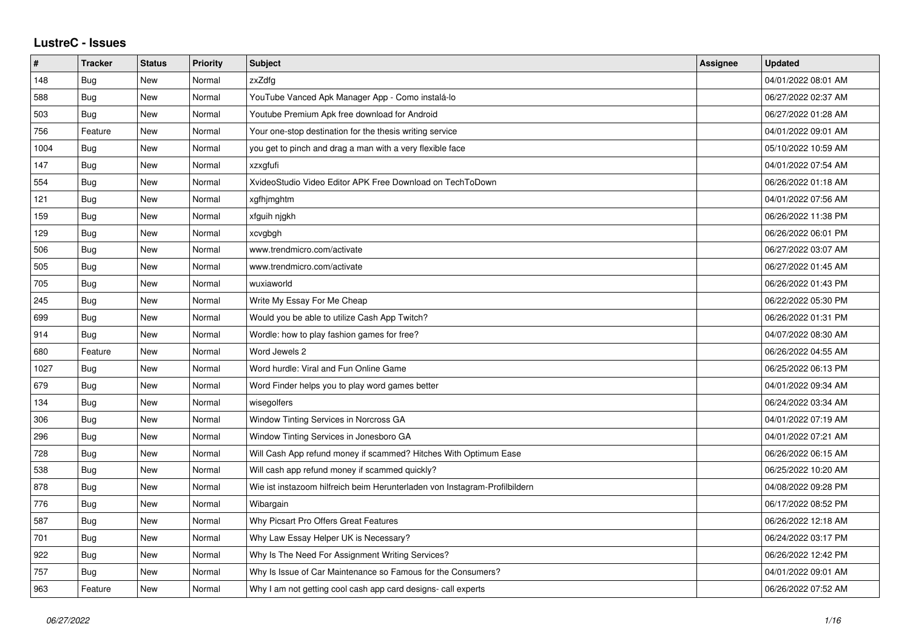## **LustreC - Issues**

| $\sharp$ | <b>Tracker</b> | <b>Status</b> | Priority | <b>Subject</b>                                                             | Assignee | <b>Updated</b>      |
|----------|----------------|---------------|----------|----------------------------------------------------------------------------|----------|---------------------|
| 148      | Bug            | New           | Normal   | zxZdfg                                                                     |          | 04/01/2022 08:01 AM |
| 588      | Bug            | New           | Normal   | YouTube Vanced Apk Manager App - Como instalá-lo                           |          | 06/27/2022 02:37 AM |
| 503      | Bug            | New           | Normal   | Youtube Premium Apk free download for Android                              |          | 06/27/2022 01:28 AM |
| 756      | Feature        | New           | Normal   | Your one-stop destination for the thesis writing service                   |          | 04/01/2022 09:01 AM |
| 1004     | Bug            | New           | Normal   | you get to pinch and drag a man with a very flexible face                  |          | 05/10/2022 10:59 AM |
| 147      | <b>Bug</b>     | New           | Normal   | xzxafufi                                                                   |          | 04/01/2022 07:54 AM |
| 554      | <b>Bug</b>     | New           | Normal   | XvideoStudio Video Editor APK Free Download on TechToDown                  |          | 06/26/2022 01:18 AM |
| 121      | Bug            | New           | Normal   | xgfhjmghtm                                                                 |          | 04/01/2022 07:56 AM |
| 159      | Bug            | New           | Normal   | xfguih njgkh                                                               |          | 06/26/2022 11:38 PM |
| 129      | <b>Bug</b>     | New           | Normal   | xcvgbgh                                                                    |          | 06/26/2022 06:01 PM |
| 506      | Bug            | New           | Normal   | www.trendmicro.com/activate                                                |          | 06/27/2022 03:07 AM |
| 505      | Bug            | New           | Normal   | www.trendmicro.com/activate                                                |          | 06/27/2022 01:45 AM |
| 705      | Bug            | New           | Normal   | wuxiaworld                                                                 |          | 06/26/2022 01:43 PM |
| 245      | <b>Bug</b>     | New           | Normal   | Write My Essay For Me Cheap                                                |          | 06/22/2022 05:30 PM |
| 699      | Bug            | New           | Normal   | Would you be able to utilize Cash App Twitch?                              |          | 06/26/2022 01:31 PM |
| 914      | Bug            | New           | Normal   | Wordle: how to play fashion games for free?                                |          | 04/07/2022 08:30 AM |
| 680      | Feature        | New           | Normal   | Word Jewels 2                                                              |          | 06/26/2022 04:55 AM |
| 1027     | <b>Bug</b>     | New           | Normal   | Word hurdle: Viral and Fun Online Game                                     |          | 06/25/2022 06:13 PM |
| 679      | <b>Bug</b>     | New           | Normal   | Word Finder helps you to play word games better                            |          | 04/01/2022 09:34 AM |
| 134      | Bug            | New           | Normal   | wisegolfers                                                                |          | 06/24/2022 03:34 AM |
| 306      | Bug            | New           | Normal   | Window Tinting Services in Norcross GA                                     |          | 04/01/2022 07:19 AM |
| 296      | <b>Bug</b>     | New           | Normal   | Window Tinting Services in Jonesboro GA                                    |          | 04/01/2022 07:21 AM |
| 728      | Bug            | New           | Normal   | Will Cash App refund money if scammed? Hitches With Optimum Ease           |          | 06/26/2022 06:15 AM |
| 538      | Bug            | New           | Normal   | Will cash app refund money if scammed quickly?                             |          | 06/25/2022 10:20 AM |
| 878      | <b>Bug</b>     | New           | Normal   | Wie ist instazoom hilfreich beim Herunterladen von Instagram-Profilbildern |          | 04/08/2022 09:28 PM |
| 776      | Bug            | New           | Normal   | Wibargain                                                                  |          | 06/17/2022 08:52 PM |
| 587      | Bug            | New           | Normal   | Why Picsart Pro Offers Great Features                                      |          | 06/26/2022 12:18 AM |
| 701      | <b>Bug</b>     | New           | Normal   | Why Law Essay Helper UK is Necessary?                                      |          | 06/24/2022 03:17 PM |
| 922      | Bug            | New           | Normal   | Why Is The Need For Assignment Writing Services?                           |          | 06/26/2022 12:42 PM |
| 757      | Bug            | New           | Normal   | Why Is Issue of Car Maintenance so Famous for the Consumers?               |          | 04/01/2022 09:01 AM |
| 963      | Feature        | New           | Normal   | Why I am not getting cool cash app card designs- call experts              |          | 06/26/2022 07:52 AM |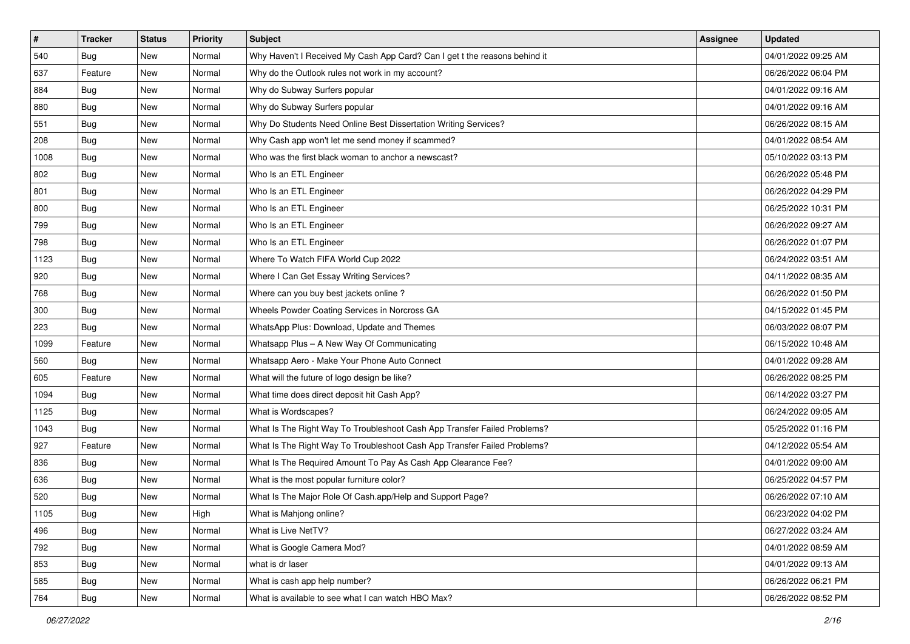| $\vert$ # | <b>Tracker</b> | <b>Status</b> | Priority | <b>Subject</b>                                                             | Assignee | <b>Updated</b>      |
|-----------|----------------|---------------|----------|----------------------------------------------------------------------------|----------|---------------------|
| 540       | <b>Bug</b>     | New           | Normal   | Why Haven't I Received My Cash App Card? Can I get t the reasons behind it |          | 04/01/2022 09:25 AM |
| 637       | Feature        | New           | Normal   | Why do the Outlook rules not work in my account?                           |          | 06/26/2022 06:04 PM |
| 884       | Bug            | New           | Normal   | Why do Subway Surfers popular                                              |          | 04/01/2022 09:16 AM |
| 880       | <b>Bug</b>     | New           | Normal   | Why do Subway Surfers popular                                              |          | 04/01/2022 09:16 AM |
| 551       | Bug            | New           | Normal   | Why Do Students Need Online Best Dissertation Writing Services?            |          | 06/26/2022 08:15 AM |
| 208       | <b>Bug</b>     | New           | Normal   | Why Cash app won't let me send money if scammed?                           |          | 04/01/2022 08:54 AM |
| 1008      | <b>Bug</b>     | New           | Normal   | Who was the first black woman to anchor a newscast?                        |          | 05/10/2022 03:13 PM |
| 802       | Bug            | New           | Normal   | Who Is an ETL Engineer                                                     |          | 06/26/2022 05:48 PM |
| 801       | Bug            | New           | Normal   | Who Is an ETL Engineer                                                     |          | 06/26/2022 04:29 PM |
| 800       | Bug            | New           | Normal   | Who Is an ETL Engineer                                                     |          | 06/25/2022 10:31 PM |
| 799       | <b>Bug</b>     | New           | Normal   | Who Is an ETL Engineer                                                     |          | 06/26/2022 09:27 AM |
| 798       | <b>Bug</b>     | New           | Normal   | Who Is an ETL Engineer                                                     |          | 06/26/2022 01:07 PM |
| 1123      | Bug            | New           | Normal   | Where To Watch FIFA World Cup 2022                                         |          | 06/24/2022 03:51 AM |
| 920       | <b>Bug</b>     | New           | Normal   | Where I Can Get Essay Writing Services?                                    |          | 04/11/2022 08:35 AM |
| 768       | <b>Bug</b>     | New           | Normal   | Where can you buy best jackets online?                                     |          | 06/26/2022 01:50 PM |
| 300       | Bug            | New           | Normal   | Wheels Powder Coating Services in Norcross GA                              |          | 04/15/2022 01:45 PM |
| 223       | <b>Bug</b>     | New           | Normal   | WhatsApp Plus: Download, Update and Themes                                 |          | 06/03/2022 08:07 PM |
| 1099      | Feature        | New           | Normal   | Whatsapp Plus - A New Way Of Communicating                                 |          | 06/15/2022 10:48 AM |
| 560       | Bug            | New           | Normal   | Whatsapp Aero - Make Your Phone Auto Connect                               |          | 04/01/2022 09:28 AM |
| 605       | Feature        | New           | Normal   | What will the future of logo design be like?                               |          | 06/26/2022 08:25 PM |
| 1094      | Bug            | New           | Normal   | What time does direct deposit hit Cash App?                                |          | 06/14/2022 03:27 PM |
| 1125      | Bug            | New           | Normal   | What is Wordscapes?                                                        |          | 06/24/2022 09:05 AM |
| 1043      | Bug            | New           | Normal   | What Is The Right Way To Troubleshoot Cash App Transfer Failed Problems?   |          | 05/25/2022 01:16 PM |
| 927       | Feature        | New           | Normal   | What Is The Right Way To Troubleshoot Cash App Transfer Failed Problems?   |          | 04/12/2022 05:54 AM |
| 836       | Bug            | New           | Normal   | What Is The Required Amount To Pay As Cash App Clearance Fee?              |          | 04/01/2022 09:00 AM |
| 636       | Bug            | New           | Normal   | What is the most popular furniture color?                                  |          | 06/25/2022 04:57 PM |
| 520       | <b>Bug</b>     | New           | Normal   | What Is The Major Role Of Cash.app/Help and Support Page?                  |          | 06/26/2022 07:10 AM |
| 1105      | <b>Bug</b>     | New           | High     | What is Mahjong online?                                                    |          | 06/23/2022 04:02 PM |
| 496       | Bug            | New           | Normal   | What is Live NetTV?                                                        |          | 06/27/2022 03:24 AM |
| 792       | <b>Bug</b>     | New           | Normal   | What is Google Camera Mod?                                                 |          | 04/01/2022 08:59 AM |
| 853       | Bug            | New           | Normal   | what is dr laser                                                           |          | 04/01/2022 09:13 AM |
| 585       | <b>Bug</b>     | New           | Normal   | What is cash app help number?                                              |          | 06/26/2022 06:21 PM |
| 764       | <b>Bug</b>     | New           | Normal   | What is available to see what I can watch HBO Max?                         |          | 06/26/2022 08:52 PM |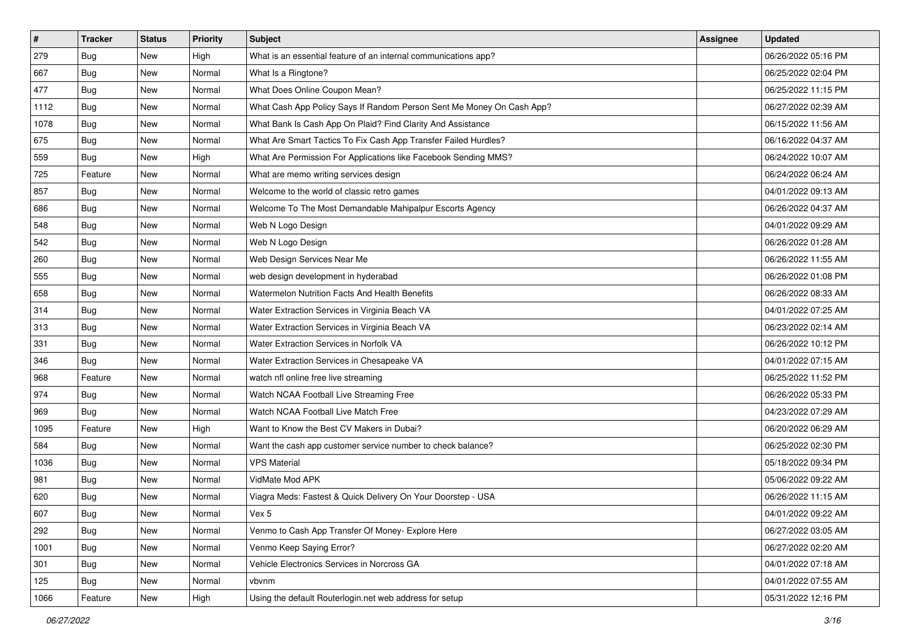| $\vert$ # | <b>Tracker</b> | <b>Status</b> | <b>Priority</b> | Subject                                                               | Assignee | <b>Updated</b>      |
|-----------|----------------|---------------|-----------------|-----------------------------------------------------------------------|----------|---------------------|
| 279       | <b>Bug</b>     | New           | High            | What is an essential feature of an internal communications app?       |          | 06/26/2022 05:16 PM |
| 667       | Bug            | New           | Normal          | What Is a Ringtone?                                                   |          | 06/25/2022 02:04 PM |
| 477       | Bug            | New           | Normal          | What Does Online Coupon Mean?                                         |          | 06/25/2022 11:15 PM |
| 1112      | Bug            | New           | Normal          | What Cash App Policy Says If Random Person Sent Me Money On Cash App? |          | 06/27/2022 02:39 AM |
| 1078      | <b>Bug</b>     | <b>New</b>    | Normal          | What Bank Is Cash App On Plaid? Find Clarity And Assistance           |          | 06/15/2022 11:56 AM |
| 675       | <b>Bug</b>     | New           | Normal          | What Are Smart Tactics To Fix Cash App Transfer Failed Hurdles?       |          | 06/16/2022 04:37 AM |
| 559       | Bug            | New           | High            | What Are Permission For Applications like Facebook Sending MMS?       |          | 06/24/2022 10:07 AM |
| 725       | Feature        | <b>New</b>    | Normal          | What are memo writing services design                                 |          | 06/24/2022 06:24 AM |
| 857       | Bug            | New           | Normal          | Welcome to the world of classic retro games                           |          | 04/01/2022 09:13 AM |
| 686       | Bug            | New           | Normal          | Welcome To The Most Demandable Mahipalpur Escorts Agency              |          | 06/26/2022 04:37 AM |
| 548       | <b>Bug</b>     | New           | Normal          | Web N Logo Design                                                     |          | 04/01/2022 09:29 AM |
| 542       | <b>Bug</b>     | New           | Normal          | Web N Logo Design                                                     |          | 06/26/2022 01:28 AM |
| 260       | Bug            | New           | Normal          | Web Design Services Near Me                                           |          | 06/26/2022 11:55 AM |
| 555       | <b>Bug</b>     | New           | Normal          | web design development in hyderabad                                   |          | 06/26/2022 01:08 PM |
| 658       | Bug            | New           | Normal          | Watermelon Nutrition Facts And Health Benefits                        |          | 06/26/2022 08:33 AM |
| 314       | Bug            | New           | Normal          | Water Extraction Services in Virginia Beach VA                        |          | 04/01/2022 07:25 AM |
| 313       | <b>Bug</b>     | New           | Normal          | Water Extraction Services in Virginia Beach VA                        |          | 06/23/2022 02:14 AM |
| 331       | Bug            | New           | Normal          | Water Extraction Services in Norfolk VA                               |          | 06/26/2022 10:12 PM |
| 346       | Bug            | New           | Normal          | Water Extraction Services in Chesapeake VA                            |          | 04/01/2022 07:15 AM |
| 968       | Feature        | <b>New</b>    | Normal          | watch nfl online free live streaming                                  |          | 06/25/2022 11:52 PM |
| 974       | Bug            | New           | Normal          | Watch NCAA Football Live Streaming Free                               |          | 06/26/2022 05:33 PM |
| 969       | Bug            | New           | Normal          | Watch NCAA Football Live Match Free                                   |          | 04/23/2022 07:29 AM |
| 1095      | Feature        | New           | High            | Want to Know the Best CV Makers in Dubai?                             |          | 06/20/2022 06:29 AM |
| 584       | <b>Bug</b>     | New           | Normal          | Want the cash app customer service number to check balance?           |          | 06/25/2022 02:30 PM |
| 1036      | Bug            | New           | Normal          | <b>VPS Material</b>                                                   |          | 05/18/2022 09:34 PM |
| 981       | <b>Bug</b>     | New           | Normal          | VidMate Mod APK                                                       |          | 05/06/2022 09:22 AM |
| 620       | <b>Bug</b>     | New           | Normal          | Viagra Meds: Fastest & Quick Delivery On Your Doorstep - USA          |          | 06/26/2022 11:15 AM |
| 607       | <b>Bug</b>     | New           | Normal          | Vex 5                                                                 |          | 04/01/2022 09:22 AM |
| 292       | Bug            | New           | Normal          | Venmo to Cash App Transfer Of Money- Explore Here                     |          | 06/27/2022 03:05 AM |
| 1001      | <b>Bug</b>     | New           | Normal          | Venmo Keep Saying Error?                                              |          | 06/27/2022 02:20 AM |
| 301       | Bug            | New           | Normal          | Vehicle Electronics Services in Norcross GA                           |          | 04/01/2022 07:18 AM |
| 125       | <b>Bug</b>     | New           | Normal          | vbvnm                                                                 |          | 04/01/2022 07:55 AM |
| 1066      | Feature        | New           | High            | Using the default Routerlogin.net web address for setup               |          | 05/31/2022 12:16 PM |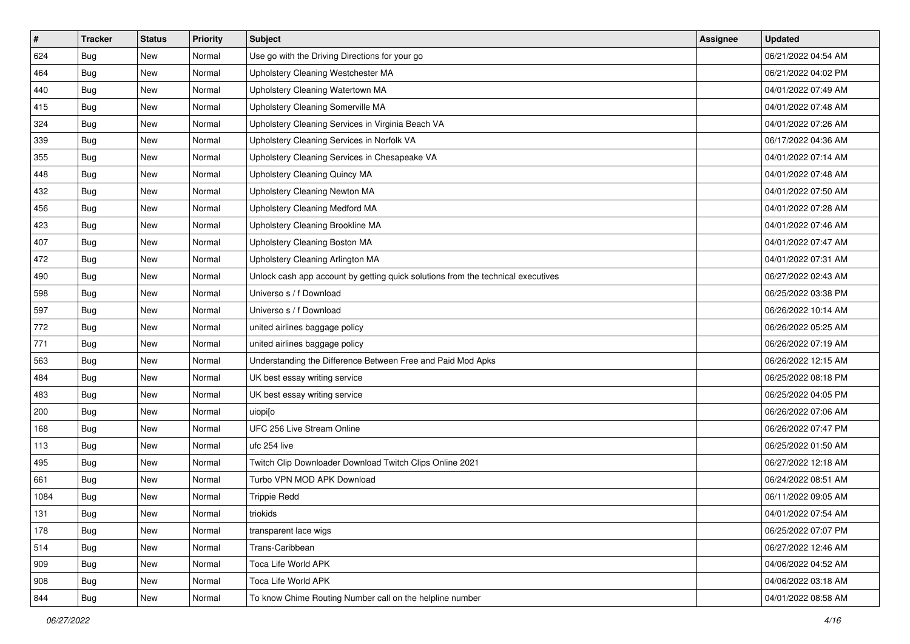| #    | <b>Tracker</b> | <b>Status</b> | <b>Priority</b> | Subject                                                                          | Assignee | <b>Updated</b>      |
|------|----------------|---------------|-----------------|----------------------------------------------------------------------------------|----------|---------------------|
| 624  | <b>Bug</b>     | New           | Normal          | Use go with the Driving Directions for your go                                   |          | 06/21/2022 04:54 AM |
| 464  | <b>Bug</b>     | New           | Normal          | Upholstery Cleaning Westchester MA                                               |          | 06/21/2022 04:02 PM |
| 440  | Bug            | New           | Normal          | Upholstery Cleaning Watertown MA                                                 |          | 04/01/2022 07:49 AM |
| 415  | <b>Bug</b>     | New           | Normal          | Upholstery Cleaning Somerville MA                                                |          | 04/01/2022 07:48 AM |
| 324  | <b>Bug</b>     | <b>New</b>    | Normal          | Upholstery Cleaning Services in Virginia Beach VA                                |          | 04/01/2022 07:26 AM |
| 339  | Bug            | New           | Normal          | Upholstery Cleaning Services in Norfolk VA                                       |          | 06/17/2022 04:36 AM |
| 355  | <b>Bug</b>     | New           | Normal          | Upholstery Cleaning Services in Chesapeake VA                                    |          | 04/01/2022 07:14 AM |
| 448  | Bug            | New           | Normal          | Upholstery Cleaning Quincy MA                                                    |          | 04/01/2022 07:48 AM |
| 432  | <b>Bug</b>     | New           | Normal          | Upholstery Cleaning Newton MA                                                    |          | 04/01/2022 07:50 AM |
| 456  | Bug            | New           | Normal          | Upholstery Cleaning Medford MA                                                   |          | 04/01/2022 07:28 AM |
| 423  | <b>Bug</b>     | New           | Normal          | Upholstery Cleaning Brookline MA                                                 |          | 04/01/2022 07:46 AM |
| 407  | Bug            | New           | Normal          | Upholstery Cleaning Boston MA                                                    |          | 04/01/2022 07:47 AM |
| 472  | Bug            | New           | Normal          | Upholstery Cleaning Arlington MA                                                 |          | 04/01/2022 07:31 AM |
| 490  | <b>Bug</b>     | New           | Normal          | Unlock cash app account by getting quick solutions from the technical executives |          | 06/27/2022 02:43 AM |
| 598  | <b>Bug</b>     | New           | Normal          | Universo s / f Download                                                          |          | 06/25/2022 03:38 PM |
| 597  | <b>Bug</b>     | New           | Normal          | Universo s / f Download                                                          |          | 06/26/2022 10:14 AM |
| 772  | <b>Bug</b>     | New           | Normal          | united airlines baggage policy                                                   |          | 06/26/2022 05:25 AM |
| 771  | <b>Bug</b>     | <b>New</b>    | Normal          | united airlines baggage policy                                                   |          | 06/26/2022 07:19 AM |
| 563  | <b>Bug</b>     | New           | Normal          | Understanding the Difference Between Free and Paid Mod Apks                      |          | 06/26/2022 12:15 AM |
| 484  | <b>Bug</b>     | New           | Normal          | UK best essay writing service                                                    |          | 06/25/2022 08:18 PM |
| 483  | <b>Bug</b>     | New           | Normal          | UK best essay writing service                                                    |          | 06/25/2022 04:05 PM |
| 200  | <b>Bug</b>     | New           | Normal          | uiopiso                                                                          |          | 06/26/2022 07:06 AM |
| 168  | Bug            | <b>New</b>    | Normal          | UFC 256 Live Stream Online                                                       |          | 06/26/2022 07:47 PM |
| 113  | <b>Bug</b>     | New           | Normal          | ufc 254 live                                                                     |          | 06/25/2022 01:50 AM |
| 495  | Bug            | New           | Normal          | Twitch Clip Downloader Download Twitch Clips Online 2021                         |          | 06/27/2022 12:18 AM |
| 661  | Bug            | New           | Normal          | Turbo VPN MOD APK Download                                                       |          | 06/24/2022 08:51 AM |
| 1084 | <b>Bug</b>     | New           | Normal          | <b>Trippie Redd</b>                                                              |          | 06/11/2022 09:05 AM |
| 131  | <b>Bug</b>     | New           | Normal          | triokids                                                                         |          | 04/01/2022 07:54 AM |
| 178  | <b>Bug</b>     | New           | Normal          | transparent lace wigs                                                            |          | 06/25/2022 07:07 PM |
| 514  | Bug            | New           | Normal          | Trans-Caribbean                                                                  |          | 06/27/2022 12:46 AM |
| 909  | <b>Bug</b>     | New           | Normal          | Toca Life World APK                                                              |          | 04/06/2022 04:52 AM |
| 908  | <b>Bug</b>     | New           | Normal          | Toca Life World APK                                                              |          | 04/06/2022 03:18 AM |
| 844  | <b>Bug</b>     | New           | Normal          | To know Chime Routing Number call on the helpline number                         |          | 04/01/2022 08:58 AM |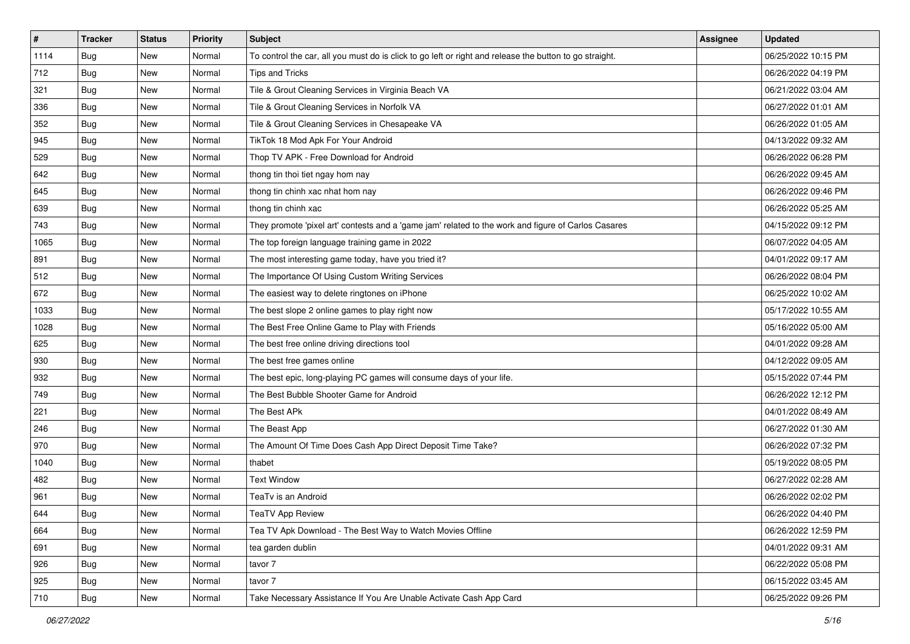| $\vert$ # | <b>Tracker</b> | <b>Status</b> | <b>Priority</b> | Subject                                                                                                 | Assignee | <b>Updated</b>      |
|-----------|----------------|---------------|-----------------|---------------------------------------------------------------------------------------------------------|----------|---------------------|
| 1114      | <b>Bug</b>     | New           | Normal          | To control the car, all you must do is click to go left or right and release the button to go straight. |          | 06/25/2022 10:15 PM |
| 712       | Bug            | New           | Normal          | <b>Tips and Tricks</b>                                                                                  |          | 06/26/2022 04:19 PM |
| 321       | <b>Bug</b>     | New           | Normal          | Tile & Grout Cleaning Services in Virginia Beach VA                                                     |          | 06/21/2022 03:04 AM |
| 336       | Bug            | New           | Normal          | Tile & Grout Cleaning Services in Norfolk VA                                                            |          | 06/27/2022 01:01 AM |
| 352       | <b>Bug</b>     | New           | Normal          | Tile & Grout Cleaning Services in Chesapeake VA                                                         |          | 06/26/2022 01:05 AM |
| 945       | Bug            | New           | Normal          | TikTok 18 Mod Apk For Your Android                                                                      |          | 04/13/2022 09:32 AM |
| 529       | <b>Bug</b>     | New           | Normal          | Thop TV APK - Free Download for Android                                                                 |          | 06/26/2022 06:28 PM |
| 642       | Bug            | <b>New</b>    | Normal          | thong tin thoi tiet ngay hom nay                                                                        |          | 06/26/2022 09:45 AM |
| 645       | Bug            | New           | Normal          | thong tin chinh xac nhat hom nay                                                                        |          | 06/26/2022 09:46 PM |
| 639       | <b>Bug</b>     | New           | Normal          | thong tin chinh xac                                                                                     |          | 06/26/2022 05:25 AM |
| 743       | <b>Bug</b>     | New           | Normal          | They promote 'pixel art' contests and a 'game jam' related to the work and figure of Carlos Casares     |          | 04/15/2022 09:12 PM |
| 1065      | <b>Bug</b>     | <b>New</b>    | Normal          | The top foreign language training game in 2022                                                          |          | 06/07/2022 04:05 AM |
| 891       | Bug            | <b>New</b>    | Normal          | The most interesting game today, have you tried it?                                                     |          | 04/01/2022 09:17 AM |
| 512       | <b>Bug</b>     | New           | Normal          | The Importance Of Using Custom Writing Services                                                         |          | 06/26/2022 08:04 PM |
| 672       | <b>Bug</b>     | New           | Normal          | The easiest way to delete ringtones on iPhone                                                           |          | 06/25/2022 10:02 AM |
| 1033      | <b>Bug</b>     | New           | Normal          | The best slope 2 online games to play right now                                                         |          | 05/17/2022 10:55 AM |
| 1028      | <b>Bug</b>     | New           | Normal          | The Best Free Online Game to Play with Friends                                                          |          | 05/16/2022 05:00 AM |
| 625       | <b>Bug</b>     | New           | Normal          | The best free online driving directions tool                                                            |          | 04/01/2022 09:28 AM |
| 930       | <b>Bug</b>     | New           | Normal          | The best free games online                                                                              |          | 04/12/2022 09:05 AM |
| 932       | <b>Bug</b>     | New           | Normal          | The best epic, long-playing PC games will consume days of your life.                                    |          | 05/15/2022 07:44 PM |
| 749       | Bug            | <b>New</b>    | Normal          | The Best Bubble Shooter Game for Android                                                                |          | 06/26/2022 12:12 PM |
| 221       | Bug            | New           | Normal          | The Best APk                                                                                            |          | 04/01/2022 08:49 AM |
| 246       | <b>Bug</b>     | New           | Normal          | The Beast App                                                                                           |          | 06/27/2022 01:30 AM |
| 970       | <b>Bug</b>     | New           | Normal          | The Amount Of Time Does Cash App Direct Deposit Time Take?                                              |          | 06/26/2022 07:32 PM |
| 1040      | Bug            | New           | Normal          | thabet                                                                                                  |          | 05/19/2022 08:05 PM |
| 482       | <b>Bug</b>     | <b>New</b>    | Normal          | <b>Text Window</b>                                                                                      |          | 06/27/2022 02:28 AM |
| 961       | <b>Bug</b>     | New           | Normal          | TeaTv is an Android                                                                                     |          | 06/26/2022 02:02 PM |
| 644       | <b>Bug</b>     | New           | Normal          | <b>TeaTV App Review</b>                                                                                 |          | 06/26/2022 04:40 PM |
| 664       | Bug            | New           | Normal          | Tea TV Apk Download - The Best Way to Watch Movies Offline                                              |          | 06/26/2022 12:59 PM |
| 691       | <b>Bug</b>     | New           | Normal          | tea garden dublin                                                                                       |          | 04/01/2022 09:31 AM |
| 926       | Bug            | New           | Normal          | tavor 7                                                                                                 |          | 06/22/2022 05:08 PM |
| 925       | <b>Bug</b>     | New           | Normal          | tavor 7                                                                                                 |          | 06/15/2022 03:45 AM |
| 710       | <b>Bug</b>     | New           | Normal          | Take Necessary Assistance If You Are Unable Activate Cash App Card                                      |          | 06/25/2022 09:26 PM |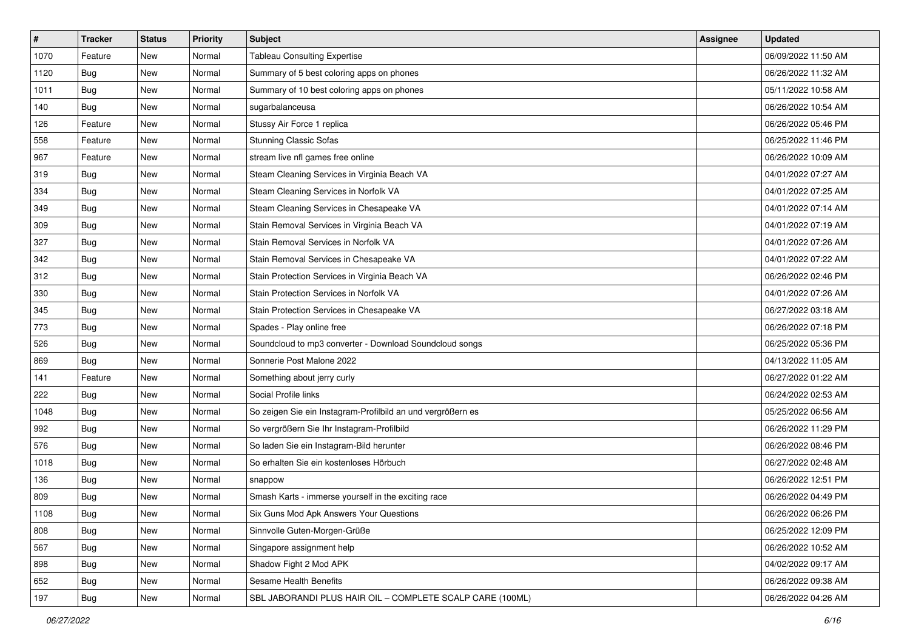| $\vert$ # | <b>Tracker</b> | <b>Status</b> | <b>Priority</b> | <b>Subject</b>                                              | Assignee | <b>Updated</b>      |
|-----------|----------------|---------------|-----------------|-------------------------------------------------------------|----------|---------------------|
| 1070      | Feature        | New           | Normal          | <b>Tableau Consulting Expertise</b>                         |          | 06/09/2022 11:50 AM |
| 1120      | <b>Bug</b>     | New           | Normal          | Summary of 5 best coloring apps on phones                   |          | 06/26/2022 11:32 AM |
| 1011      | Bug            | New           | Normal          | Summary of 10 best coloring apps on phones                  |          | 05/11/2022 10:58 AM |
| 140       | Bug            | New           | Normal          | sugarbalanceusa                                             |          | 06/26/2022 10:54 AM |
| 126       | Feature        | New           | Normal          | Stussy Air Force 1 replica                                  |          | 06/26/2022 05:46 PM |
| 558       | Feature        | New           | Normal          | <b>Stunning Classic Sofas</b>                               |          | 06/25/2022 11:46 PM |
| 967       | Feature        | New           | Normal          | stream live nfl games free online                           |          | 06/26/2022 10:09 AM |
| 319       | Bug            | New           | Normal          | Steam Cleaning Services in Virginia Beach VA                |          | 04/01/2022 07:27 AM |
| 334       | Bug            | New           | Normal          | Steam Cleaning Services in Norfolk VA                       |          | 04/01/2022 07:25 AM |
| 349       | Bug            | New           | Normal          | Steam Cleaning Services in Chesapeake VA                    |          | 04/01/2022 07:14 AM |
| 309       | <b>Bug</b>     | New           | Normal          | Stain Removal Services in Virginia Beach VA                 |          | 04/01/2022 07:19 AM |
| 327       | Bug            | New           | Normal          | Stain Removal Services in Norfolk VA                        |          | 04/01/2022 07:26 AM |
| 342       | <b>Bug</b>     | New           | Normal          | Stain Removal Services in Chesapeake VA                     |          | 04/01/2022 07:22 AM |
| 312       | <b>Bug</b>     | New           | Normal          | Stain Protection Services in Virginia Beach VA              |          | 06/26/2022 02:46 PM |
| 330       | <b>Bug</b>     | New           | Normal          | Stain Protection Services in Norfolk VA                     |          | 04/01/2022 07:26 AM |
| 345       | Bug            | New           | Normal          | Stain Protection Services in Chesapeake VA                  |          | 06/27/2022 03:18 AM |
| 773       | <b>Bug</b>     | New           | Normal          | Spades - Play online free                                   |          | 06/26/2022 07:18 PM |
| 526       | Bug            | New           | Normal          | Soundcloud to mp3 converter - Download Soundcloud songs     |          | 06/25/2022 05:36 PM |
| 869       | Bug            | New           | Normal          | Sonnerie Post Malone 2022                                   |          | 04/13/2022 11:05 AM |
| 141       | Feature        | New           | Normal          | Something about jerry curly                                 |          | 06/27/2022 01:22 AM |
| 222       | Bug            | New           | Normal          | Social Profile links                                        |          | 06/24/2022 02:53 AM |
| 1048      | <b>Bug</b>     | New           | Normal          | So zeigen Sie ein Instagram-Profilbild an und vergrößern es |          | 05/25/2022 06:56 AM |
| 992       | Bug            | New           | Normal          | So vergrößern Sie Ihr Instagram-Profilbild                  |          | 06/26/2022 11:29 PM |
| 576       | <b>Bug</b>     | New           | Normal          | So laden Sie ein Instagram-Bild herunter                    |          | 06/26/2022 08:46 PM |
| 1018      | Bug            | New           | Normal          | So erhalten Sie ein kostenloses Hörbuch                     |          | 06/27/2022 02:48 AM |
| 136       | Bug            | New           | Normal          | snappow                                                     |          | 06/26/2022 12:51 PM |
| 809       | <b>Bug</b>     | New           | Normal          | Smash Karts - immerse yourself in the exciting race         |          | 06/26/2022 04:49 PM |
| 1108      | Bug            | New           | Normal          | Six Guns Mod Apk Answers Your Questions                     |          | 06/26/2022 06:26 PM |
| 808       | <b>Bug</b>     | New           | Normal          | Sinnvolle Guten-Morgen-Grüße                                |          | 06/25/2022 12:09 PM |
| 567       | Bug            | New           | Normal          | Singapore assignment help                                   |          | 06/26/2022 10:52 AM |
| 898       | Bug            | New           | Normal          | Shadow Fight 2 Mod APK                                      |          | 04/02/2022 09:17 AM |
| 652       | Bug            | New           | Normal          | Sesame Health Benefits                                      |          | 06/26/2022 09:38 AM |
| 197       | <b>Bug</b>     | New           | Normal          | SBL JABORANDI PLUS HAIR OIL - COMPLETE SCALP CARE (100ML)   |          | 06/26/2022 04:26 AM |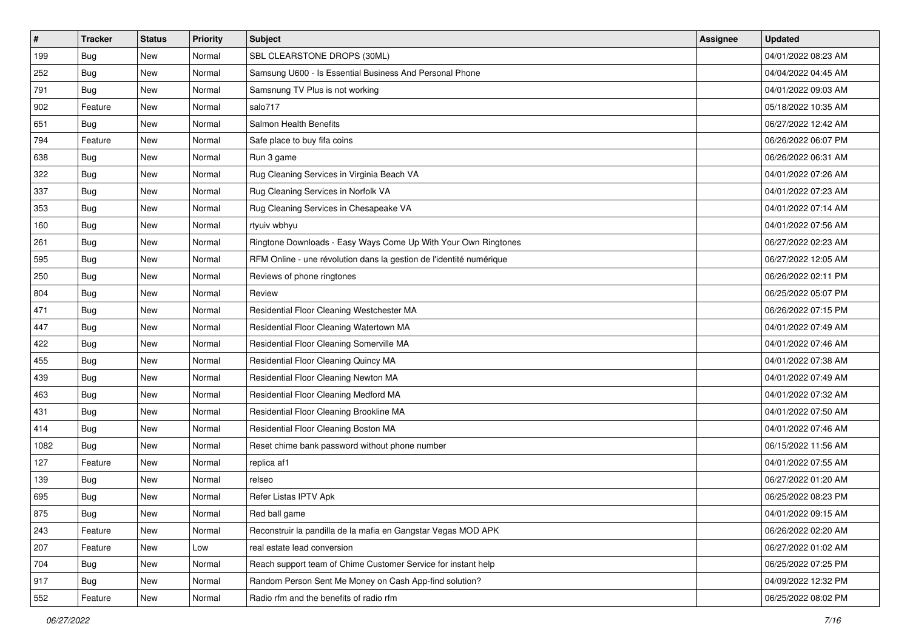| $\vert$ # | <b>Tracker</b> | <b>Status</b> | <b>Priority</b> | Subject                                                             | Assignee | <b>Updated</b>      |
|-----------|----------------|---------------|-----------------|---------------------------------------------------------------------|----------|---------------------|
| 199       | <b>Bug</b>     | New           | Normal          | SBL CLEARSTONE DROPS (30ML)                                         |          | 04/01/2022 08:23 AM |
| 252       | <b>Bug</b>     | New           | Normal          | Samsung U600 - Is Essential Business And Personal Phone             |          | 04/04/2022 04:45 AM |
| 791       | Bug            | New           | Normal          | Samsnung TV Plus is not working                                     |          | 04/01/2022 09:03 AM |
| 902       | Feature        | New           | Normal          | salo717                                                             |          | 05/18/2022 10:35 AM |
| 651       | <b>Bug</b>     | New           | Normal          | Salmon Health Benefits                                              |          | 06/27/2022 12:42 AM |
| 794       | Feature        | New           | Normal          | Safe place to buy fifa coins                                        |          | 06/26/2022 06:07 PM |
| 638       | Bug            | New           | Normal          | Run 3 game                                                          |          | 06/26/2022 06:31 AM |
| 322       | <b>Bug</b>     | New           | Normal          | Rug Cleaning Services in Virginia Beach VA                          |          | 04/01/2022 07:26 AM |
| 337       | <b>Bug</b>     | New           | Normal          | Rug Cleaning Services in Norfolk VA                                 |          | 04/01/2022 07:23 AM |
| 353       | Bug            | New           | Normal          | Rug Cleaning Services in Chesapeake VA                              |          | 04/01/2022 07:14 AM |
| 160       | <b>Bug</b>     | New           | Normal          | rtyuiv wbhyu                                                        |          | 04/01/2022 07:56 AM |
| 261       | Bug            | New           | Normal          | Ringtone Downloads - Easy Ways Come Up With Your Own Ringtones      |          | 06/27/2022 02:23 AM |
| 595       | <b>Bug</b>     | New           | Normal          | RFM Online - une révolution dans la gestion de l'identité numérique |          | 06/27/2022 12:05 AM |
| 250       | Bug            | New           | Normal          | Reviews of phone ringtones                                          |          | 06/26/2022 02:11 PM |
| 804       | <b>Bug</b>     | New           | Normal          | Review                                                              |          | 06/25/2022 05:07 PM |
| 471       | Bug            | New           | Normal          | Residential Floor Cleaning Westchester MA                           |          | 06/26/2022 07:15 PM |
| 447       | <b>Bug</b>     | New           | Normal          | Residential Floor Cleaning Watertown MA                             |          | 04/01/2022 07:49 AM |
| 422       | Bug            | New           | Normal          | Residential Floor Cleaning Somerville MA                            |          | 04/01/2022 07:46 AM |
| 455       | Bug            | New           | Normal          | Residential Floor Cleaning Quincy MA                                |          | 04/01/2022 07:38 AM |
| 439       | <b>Bug</b>     | New           | Normal          | Residential Floor Cleaning Newton MA                                |          | 04/01/2022 07:49 AM |
| 463       | <b>Bug</b>     | New           | Normal          | Residential Floor Cleaning Medford MA                               |          | 04/01/2022 07:32 AM |
| 431       | <b>Bug</b>     | New           | Normal          | Residential Floor Cleaning Brookline MA                             |          | 04/01/2022 07:50 AM |
| 414       | Bug            | New           | Normal          | Residential Floor Cleaning Boston MA                                |          | 04/01/2022 07:46 AM |
| 1082      | <b>Bug</b>     | New           | Normal          | Reset chime bank password without phone number                      |          | 06/15/2022 11:56 AM |
| 127       | Feature        | New           | Normal          | replica af1                                                         |          | 04/01/2022 07:55 AM |
| 139       | Bug            | New           | Normal          | relseo                                                              |          | 06/27/2022 01:20 AM |
| 695       | <b>Bug</b>     | New           | Normal          | Refer Listas IPTV Apk                                               |          | 06/25/2022 08:23 PM |
| 875       | <b>Bug</b>     | New           | Normal          | Red ball game                                                       |          | 04/01/2022 09:15 AM |
| 243       | Feature        | New           | Normal          | Reconstruir la pandilla de la mafia en Gangstar Vegas MOD APK       |          | 06/26/2022 02:20 AM |
| 207       | Feature        | New           | Low             | real estate lead conversion                                         |          | 06/27/2022 01:02 AM |
| 704       | <b>Bug</b>     | New           | Normal          | Reach support team of Chime Customer Service for instant help       |          | 06/25/2022 07:25 PM |
| 917       | <b>Bug</b>     | New           | Normal          | Random Person Sent Me Money on Cash App-find solution?              |          | 04/09/2022 12:32 PM |
| 552       | Feature        | New           | Normal          | Radio rfm and the benefits of radio rfm                             |          | 06/25/2022 08:02 PM |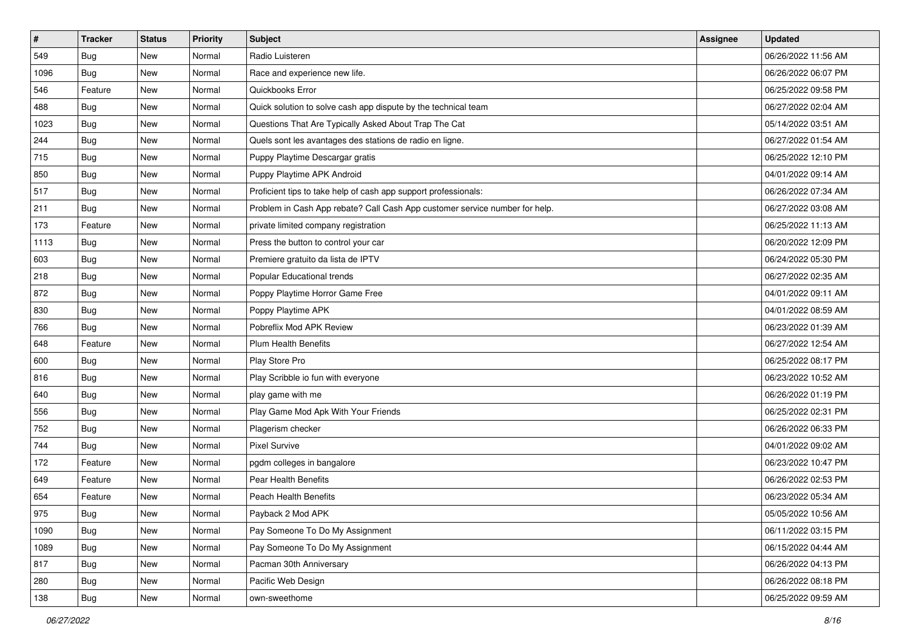| $\vert$ # | <b>Tracker</b> | <b>Status</b> | <b>Priority</b> | <b>Subject</b>                                                              | Assignee | <b>Updated</b>      |
|-----------|----------------|---------------|-----------------|-----------------------------------------------------------------------------|----------|---------------------|
| 549       | <b>Bug</b>     | New           | Normal          | Radio Luisteren                                                             |          | 06/26/2022 11:56 AM |
| 1096      | <b>Bug</b>     | New           | Normal          | Race and experience new life.                                               |          | 06/26/2022 06:07 PM |
| 546       | Feature        | New           | Normal          | Quickbooks Error                                                            |          | 06/25/2022 09:58 PM |
| 488       | Bug            | New           | Normal          | Quick solution to solve cash app dispute by the technical team              |          | 06/27/2022 02:04 AM |
| 1023      | Bug            | New           | Normal          | Questions That Are Typically Asked About Trap The Cat                       |          | 05/14/2022 03:51 AM |
| 244       | <b>Bug</b>     | New           | Normal          | Quels sont les avantages des stations de radio en ligne.                    |          | 06/27/2022 01:54 AM |
| 715       | Bug            | New           | Normal          | Puppy Playtime Descargar gratis                                             |          | 06/25/2022 12:10 PM |
| 850       | <b>Bug</b>     | New           | Normal          | Puppy Playtime APK Android                                                  |          | 04/01/2022 09:14 AM |
| 517       | <b>Bug</b>     | New           | Normal          | Proficient tips to take help of cash app support professionals:             |          | 06/26/2022 07:34 AM |
| 211       | Bug            | New           | Normal          | Problem in Cash App rebate? Call Cash App customer service number for help. |          | 06/27/2022 03:08 AM |
| 173       | Feature        | New           | Normal          | private limited company registration                                        |          | 06/25/2022 11:13 AM |
| 1113      | Bug            | New           | Normal          | Press the button to control your car                                        |          | 06/20/2022 12:09 PM |
| 603       | Bug            | New           | Normal          | Premiere gratuito da lista de IPTV                                          |          | 06/24/2022 05:30 PM |
| 218       | <b>Bug</b>     | New           | Normal          | Popular Educational trends                                                  |          | 06/27/2022 02:35 AM |
| 872       | <b>Bug</b>     | New           | Normal          | Poppy Playtime Horror Game Free                                             |          | 04/01/2022 09:11 AM |
| 830       | Bug            | New           | Normal          | Poppy Playtime APK                                                          |          | 04/01/2022 08:59 AM |
| 766       | <b>Bug</b>     | New           | Normal          | Pobreflix Mod APK Review                                                    |          | 06/23/2022 01:39 AM |
| 648       | Feature        | <b>New</b>    | Normal          | <b>Plum Health Benefits</b>                                                 |          | 06/27/2022 12:54 AM |
| 600       | Bug            | New           | Normal          | Play Store Pro                                                              |          | 06/25/2022 08:17 PM |
| 816       | Bug            | New           | Normal          | Play Scribble io fun with everyone                                          |          | 06/23/2022 10:52 AM |
| 640       | <b>Bug</b>     | New           | Normal          | play game with me                                                           |          | 06/26/2022 01:19 PM |
| 556       | <b>Bug</b>     | New           | Normal          | Play Game Mod Apk With Your Friends                                         |          | 06/25/2022 02:31 PM |
| 752       | Bug            | New           | Normal          | Plagerism checker                                                           |          | 06/26/2022 06:33 PM |
| 744       | <b>Bug</b>     | New           | Normal          | <b>Pixel Survive</b>                                                        |          | 04/01/2022 09:02 AM |
| 172       | Feature        | New           | Normal          | pgdm colleges in bangalore                                                  |          | 06/23/2022 10:47 PM |
| 649       | Feature        | New           | Normal          | Pear Health Benefits                                                        |          | 06/26/2022 02:53 PM |
| 654       | Feature        | New           | Normal          | <b>Peach Health Benefits</b>                                                |          | 06/23/2022 05:34 AM |
| 975       | Bug            | New           | Normal          | Payback 2 Mod APK                                                           |          | 05/05/2022 10:56 AM |
| 1090      | Bug            | New           | Normal          | Pay Someone To Do My Assignment                                             |          | 06/11/2022 03:15 PM |
| 1089      | Bug            | New           | Normal          | Pay Someone To Do My Assignment                                             |          | 06/15/2022 04:44 AM |
| 817       | <b>Bug</b>     | New           | Normal          | Pacman 30th Anniversary                                                     |          | 06/26/2022 04:13 PM |
| 280       | <b>Bug</b>     | New           | Normal          | Pacific Web Design                                                          |          | 06/26/2022 08:18 PM |
| 138       | <b>Bug</b>     | New           | Normal          | own-sweethome                                                               |          | 06/25/2022 09:59 AM |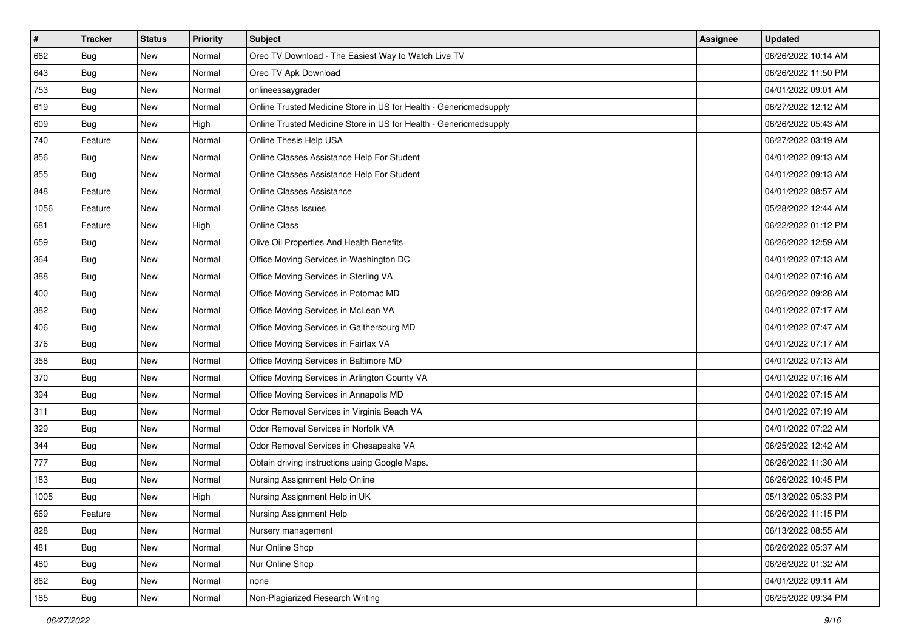| #    | <b>Tracker</b> | <b>Status</b> | Priority | <b>Subject</b>                                                    | Assignee | <b>Updated</b>      |
|------|----------------|---------------|----------|-------------------------------------------------------------------|----------|---------------------|
| 662  | <b>Bug</b>     | New           | Normal   | Oreo TV Download - The Easiest Way to Watch Live TV               |          | 06/26/2022 10:14 AM |
| 643  | Bug            | New           | Normal   | Oreo TV Apk Download                                              |          | 06/26/2022 11:50 PM |
| 753  | Bug            | New           | Normal   | onlineessaygrader                                                 |          | 04/01/2022 09:01 AM |
| 619  | <b>Bug</b>     | New           | Normal   | Online Trusted Medicine Store in US for Health - Genericmedsupply |          | 06/27/2022 12:12 AM |
| 609  | Bug            | New           | High     | Online Trusted Medicine Store in US for Health - Genericmedsupply |          | 06/26/2022 05:43 AM |
| 740  | Feature        | New           | Normal   | Online Thesis Help USA                                            |          | 06/27/2022 03:19 AM |
| 856  | <b>Bug</b>     | New           | Normal   | Online Classes Assistance Help For Student                        |          | 04/01/2022 09:13 AM |
| 855  | <b>Bug</b>     | New           | Normal   | Online Classes Assistance Help For Student                        |          | 04/01/2022 09:13 AM |
| 848  | Feature        | New           | Normal   | <b>Online Classes Assistance</b>                                  |          | 04/01/2022 08:57 AM |
| 1056 | Feature        | New           | Normal   | <b>Online Class Issues</b>                                        |          | 05/28/2022 12:44 AM |
| 681  | Feature        | New           | High     | <b>Online Class</b>                                               |          | 06/22/2022 01:12 PM |
| 659  | Bug            | New           | Normal   | Olive Oil Properties And Health Benefits                          |          | 06/26/2022 12:59 AM |
| 364  | Bug            | New           | Normal   | Office Moving Services in Washington DC                           |          | 04/01/2022 07:13 AM |
| 388  | <b>Bug</b>     | New           | Normal   | Office Moving Services in Sterling VA                             |          | 04/01/2022 07:16 AM |
| 400  | <b>Bug</b>     | New           | Normal   | Office Moving Services in Potomac MD                              |          | 06/26/2022 09:28 AM |
| 382  | <b>Bug</b>     | New           | Normal   | Office Moving Services in McLean VA                               |          | 04/01/2022 07:17 AM |
| 406  | <b>Bug</b>     | New           | Normal   | Office Moving Services in Gaithersburg MD                         |          | 04/01/2022 07:47 AM |
| 376  | Bug            | New           | Normal   | Office Moving Services in Fairfax VA                              |          | 04/01/2022 07:17 AM |
| 358  | <b>Bug</b>     | New           | Normal   | Office Moving Services in Baltimore MD                            |          | 04/01/2022 07:13 AM |
| 370  | Bug            | New           | Normal   | Office Moving Services in Arlington County VA                     |          | 04/01/2022 07:16 AM |
| 394  | Bug            | New           | Normal   | Office Moving Services in Annapolis MD                            |          | 04/01/2022 07:15 AM |
| 311  | Bug            | New           | Normal   | Odor Removal Services in Virginia Beach VA                        |          | 04/01/2022 07:19 AM |
| 329  | Bug            | New           | Normal   | Odor Removal Services in Norfolk VA                               |          | 04/01/2022 07:22 AM |
| 344  | <b>Bug</b>     | New           | Normal   | Odor Removal Services in Chesapeake VA                            |          | 06/25/2022 12:42 AM |
| 777  | <b>Bug</b>     | New           | Normal   | Obtain driving instructions using Google Maps.                    |          | 06/26/2022 11:30 AM |
| 183  | Bug            | New           | Normal   | Nursing Assignment Help Online                                    |          | 06/26/2022 10:45 PM |
| 1005 | <b>Bug</b>     | New           | High     | Nursing Assignment Help in UK                                     |          | 05/13/2022 05:33 PM |
| 669  | Feature        | New           | Normal   | Nursing Assignment Help                                           |          | 06/26/2022 11:15 PM |
| 828  | Bug            | New           | Normal   | Nursery management                                                |          | 06/13/2022 08:55 AM |
| 481  | <b>Bug</b>     | New           | Normal   | Nur Online Shop                                                   |          | 06/26/2022 05:37 AM |
| 480  | Bug            | New           | Normal   | Nur Online Shop                                                   |          | 06/26/2022 01:32 AM |
| 862  | Bug            | New           | Normal   | none                                                              |          | 04/01/2022 09:11 AM |
| 185  | <b>Bug</b>     | New           | Normal   | Non-Plagiarized Research Writing                                  |          | 06/25/2022 09:34 PM |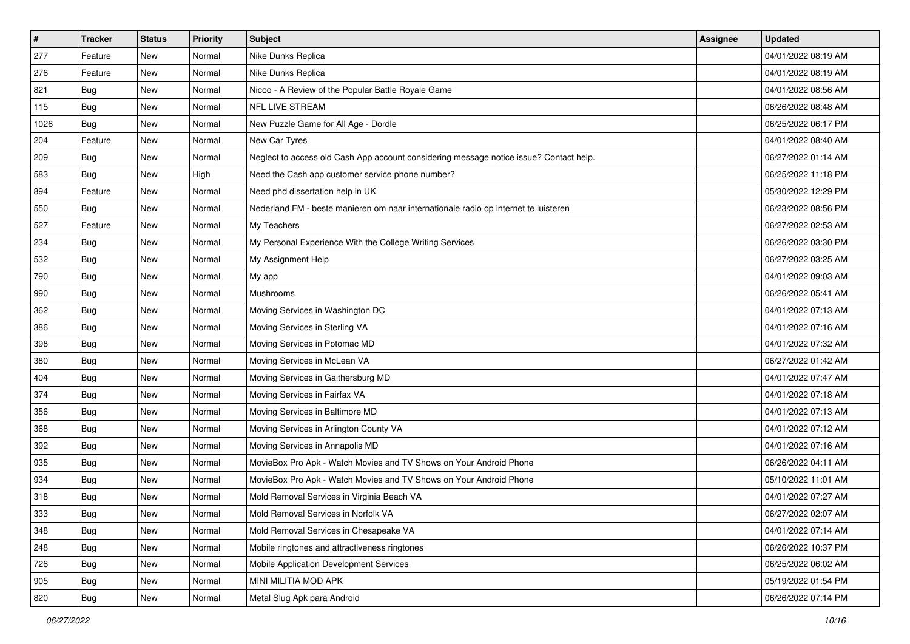| $\sharp$ | <b>Tracker</b> | <b>Status</b> | Priority | <b>Subject</b>                                                                         | Assignee | <b>Updated</b>      |
|----------|----------------|---------------|----------|----------------------------------------------------------------------------------------|----------|---------------------|
| 277      | Feature        | New           | Normal   | Nike Dunks Replica                                                                     |          | 04/01/2022 08:19 AM |
| 276      | Feature        | New           | Normal   | Nike Dunks Replica                                                                     |          | 04/01/2022 08:19 AM |
| 821      | Bug            | New           | Normal   | Nicoo - A Review of the Popular Battle Royale Game                                     |          | 04/01/2022 08:56 AM |
| 115      | <b>Bug</b>     | New           | Normal   | <b>NFL LIVE STREAM</b>                                                                 |          | 06/26/2022 08:48 AM |
| 1026     | Bug            | <b>New</b>    | Normal   | New Puzzle Game for All Age - Dordle                                                   |          | 06/25/2022 06:17 PM |
| 204      | Feature        | New           | Normal   | New Car Tyres                                                                          |          | 04/01/2022 08:40 AM |
| 209      | Bug            | New           | Normal   | Neglect to access old Cash App account considering message notice issue? Contact help. |          | 06/27/2022 01:14 AM |
| 583      | Bug            | New           | High     | Need the Cash app customer service phone number?                                       |          | 06/25/2022 11:18 PM |
| 894      | Feature        | New           | Normal   | Need phd dissertation help in UK                                                       |          | 05/30/2022 12:29 PM |
| 550      | <b>Bug</b>     | New           | Normal   | Nederland FM - beste manieren om naar internationale radio op internet te luisteren    |          | 06/23/2022 08:56 PM |
| 527      | Feature        | New           | Normal   | My Teachers                                                                            |          | 06/27/2022 02:53 AM |
| 234      | <b>Bug</b>     | New           | Normal   | My Personal Experience With the College Writing Services                               |          | 06/26/2022 03:30 PM |
| 532      | <b>Bug</b>     | New           | Normal   | My Assignment Help                                                                     |          | 06/27/2022 03:25 AM |
| 790      | <b>Bug</b>     | New           | Normal   | My app                                                                                 |          | 04/01/2022 09:03 AM |
| 990      | <b>Bug</b>     | New           | Normal   | Mushrooms                                                                              |          | 06/26/2022 05:41 AM |
| 362      | Bug            | New           | Normal   | Moving Services in Washington DC                                                       |          | 04/01/2022 07:13 AM |
| 386      | <b>Bug</b>     | New           | Normal   | Moving Services in Sterling VA                                                         |          | 04/01/2022 07:16 AM |
| 398      | Bug            | <b>New</b>    | Normal   | Moving Services in Potomac MD                                                          |          | 04/01/2022 07:32 AM |
| 380      | Bug            | New           | Normal   | Moving Services in McLean VA                                                           |          | 06/27/2022 01:42 AM |
| 404      | <b>Bug</b>     | New           | Normal   | Moving Services in Gaithersburg MD                                                     |          | 04/01/2022 07:47 AM |
| 374      | Bug            | New           | Normal   | Moving Services in Fairfax VA                                                          |          | 04/01/2022 07:18 AM |
| 356      | <b>Bug</b>     | New           | Normal   | Moving Services in Baltimore MD                                                        |          | 04/01/2022 07:13 AM |
| 368      | Bug            | New           | Normal   | Moving Services in Arlington County VA                                                 |          | 04/01/2022 07:12 AM |
| 392      | <b>Bug</b>     | New           | Normal   | Moving Services in Annapolis MD                                                        |          | 04/01/2022 07:16 AM |
| 935      | Bug            | New           | Normal   | MovieBox Pro Apk - Watch Movies and TV Shows on Your Android Phone                     |          | 06/26/2022 04:11 AM |
| 934      | <b>Bug</b>     | New           | Normal   | MovieBox Pro Apk - Watch Movies and TV Shows on Your Android Phone                     |          | 05/10/2022 11:01 AM |
| 318      | <b>Bug</b>     | New           | Normal   | Mold Removal Services in Virginia Beach VA                                             |          | 04/01/2022 07:27 AM |
| 333      | i Bug          | New           | Normal   | Mold Removal Services in Norfolk VA                                                    |          | 06/27/2022 02:07 AM |
| 348      | <b>Bug</b>     | New           | Normal   | Mold Removal Services in Chesapeake VA                                                 |          | 04/01/2022 07:14 AM |
| 248      | <b>Bug</b>     | New           | Normal   | Mobile ringtones and attractiveness ringtones                                          |          | 06/26/2022 10:37 PM |
| 726      | <b>Bug</b>     | New           | Normal   | Mobile Application Development Services                                                |          | 06/25/2022 06:02 AM |
| 905      | <b>Bug</b>     | New           | Normal   | MINI MILITIA MOD APK                                                                   |          | 05/19/2022 01:54 PM |
| 820      | Bug            | New           | Normal   | Metal Slug Apk para Android                                                            |          | 06/26/2022 07:14 PM |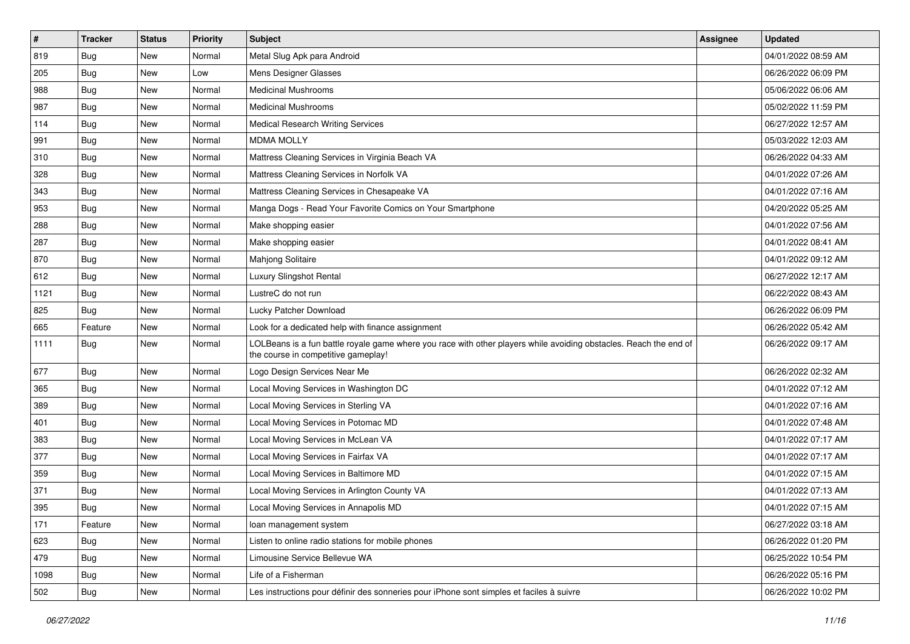| $\vert$ # | <b>Tracker</b> | <b>Status</b> | <b>Priority</b> | <b>Subject</b>                                                                                                                                           | Assignee | <b>Updated</b>      |
|-----------|----------------|---------------|-----------------|----------------------------------------------------------------------------------------------------------------------------------------------------------|----------|---------------------|
| 819       | <b>Bug</b>     | New           | Normal          | Metal Slug Apk para Android                                                                                                                              |          | 04/01/2022 08:59 AM |
| 205       | <b>Bug</b>     | New           | Low             | Mens Designer Glasses                                                                                                                                    |          | 06/26/2022 06:09 PM |
| 988       | Bug            | New           | Normal          | <b>Medicinal Mushrooms</b>                                                                                                                               |          | 05/06/2022 06:06 AM |
| 987       | Bug            | New           | Normal          | <b>Medicinal Mushrooms</b>                                                                                                                               |          | 05/02/2022 11:59 PM |
| 114       | Bug            | New           | Normal          | <b>Medical Research Writing Services</b>                                                                                                                 |          | 06/27/2022 12:57 AM |
| 991       | <b>Bug</b>     | New           | Normal          | <b>MDMA MOLLY</b>                                                                                                                                        |          | 05/03/2022 12:03 AM |
| 310       | Bug            | New           | Normal          | Mattress Cleaning Services in Virginia Beach VA                                                                                                          |          | 06/26/2022 04:33 AM |
| 328       | Bug            | New           | Normal          | Mattress Cleaning Services in Norfolk VA                                                                                                                 |          | 04/01/2022 07:26 AM |
| 343       | Bug            | New           | Normal          | Mattress Cleaning Services in Chesapeake VA                                                                                                              |          | 04/01/2022 07:16 AM |
| 953       | Bug            | New           | Normal          | Manga Dogs - Read Your Favorite Comics on Your Smartphone                                                                                                |          | 04/20/2022 05:25 AM |
| 288       | <b>Bug</b>     | New           | Normal          | Make shopping easier                                                                                                                                     |          | 04/01/2022 07:56 AM |
| 287       | Bug            | New           | Normal          | Make shopping easier                                                                                                                                     |          | 04/01/2022 08:41 AM |
| 870       | Bug            | New           | Normal          | Mahjong Solitaire                                                                                                                                        |          | 04/01/2022 09:12 AM |
| 612       | <b>Bug</b>     | New           | Normal          | Luxury Slingshot Rental                                                                                                                                  |          | 06/27/2022 12:17 AM |
| 1121      | <b>Bug</b>     | New           | Normal          | LustreC do not run                                                                                                                                       |          | 06/22/2022 08:43 AM |
| 825       | Bug            | New           | Normal          | Lucky Patcher Download                                                                                                                                   |          | 06/26/2022 06:09 PM |
| 665       | Feature        | New           | Normal          | Look for a dedicated help with finance assignment                                                                                                        |          | 06/26/2022 05:42 AM |
| 1111      | <b>Bug</b>     | New           | Normal          | LOLBeans is a fun battle royale game where you race with other players while avoiding obstacles. Reach the end of<br>the course in competitive gameplay! |          | 06/26/2022 09:17 AM |
| 677       | Bug            | New           | Normal          | Logo Design Services Near Me                                                                                                                             |          | 06/26/2022 02:32 AM |
| 365       | Bug            | New           | Normal          | Local Moving Services in Washington DC                                                                                                                   |          | 04/01/2022 07:12 AM |
| 389       | Bug            | New           | Normal          | Local Moving Services in Sterling VA                                                                                                                     |          | 04/01/2022 07:16 AM |
| 401       | Bug            | New           | Normal          | Local Moving Services in Potomac MD                                                                                                                      |          | 04/01/2022 07:48 AM |
| 383       | <b>Bug</b>     | New           | Normal          | Local Moving Services in McLean VA                                                                                                                       |          | 04/01/2022 07:17 AM |
| 377       | <b>Bug</b>     | New           | Normal          | Local Moving Services in Fairfax VA                                                                                                                      |          | 04/01/2022 07:17 AM |
| 359       | <b>Bug</b>     | New           | Normal          | Local Moving Services in Baltimore MD                                                                                                                    |          | 04/01/2022 07:15 AM |
| 371       | <b>Bug</b>     | New           | Normal          | Local Moving Services in Arlington County VA                                                                                                             |          | 04/01/2022 07:13 AM |
| 395       | <b>Bug</b>     | New           | Normal          | Local Moving Services in Annapolis MD                                                                                                                    |          | 04/01/2022 07:15 AM |
| 171       | Feature        | New           | Normal          | loan management system                                                                                                                                   |          | 06/27/2022 03:18 AM |
| 623       | Bug            | New           | Normal          | Listen to online radio stations for mobile phones                                                                                                        |          | 06/26/2022 01:20 PM |
| 479       | Bug            | New           | Normal          | Limousine Service Bellevue WA                                                                                                                            |          | 06/25/2022 10:54 PM |
| 1098      | <b>Bug</b>     | New           | Normal          | Life of a Fisherman                                                                                                                                      |          | 06/26/2022 05:16 PM |
| 502       | <b>Bug</b>     | New           | Normal          | Les instructions pour définir des sonneries pour iPhone sont simples et faciles à suivre                                                                 |          | 06/26/2022 10:02 PM |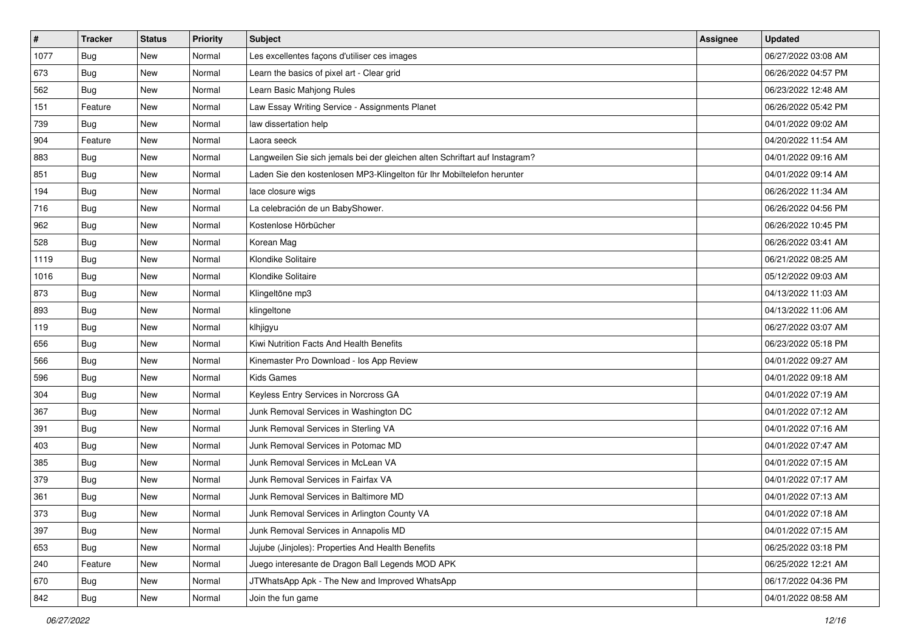| #    | <b>Tracker</b> | <b>Status</b> | Priority | <b>Subject</b>                                                              | Assignee | <b>Updated</b>      |
|------|----------------|---------------|----------|-----------------------------------------------------------------------------|----------|---------------------|
| 1077 | <b>Bug</b>     | New           | Normal   | Les excellentes façons d'utiliser ces images                                |          | 06/27/2022 03:08 AM |
| 673  | Bug            | New           | Normal   | Learn the basics of pixel art - Clear grid                                  |          | 06/26/2022 04:57 PM |
| 562  | Bug            | New           | Normal   | Learn Basic Mahjong Rules                                                   |          | 06/23/2022 12:48 AM |
| 151  | Feature        | New           | Normal   | Law Essay Writing Service - Assignments Planet                              |          | 06/26/2022 05:42 PM |
| 739  | Bug            | New           | Normal   | law dissertation help                                                       |          | 04/01/2022 09:02 AM |
| 904  | Feature        | New           | Normal   | Laora seeck                                                                 |          | 04/20/2022 11:54 AM |
| 883  | <b>Bug</b>     | New           | Normal   | Langweilen Sie sich jemals bei der gleichen alten Schriftart auf Instagram? |          | 04/01/2022 09:16 AM |
| 851  | Bug            | New           | Normal   | Laden Sie den kostenlosen MP3-Klingelton für Ihr Mobiltelefon herunter      |          | 04/01/2022 09:14 AM |
| 194  | Bug            | New           | Normal   | lace closure wigs                                                           |          | 06/26/2022 11:34 AM |
| 716  | Bug            | New           | Normal   | La celebración de un BabyShower.                                            |          | 06/26/2022 04:56 PM |
| 962  | <b>Bug</b>     | New           | Normal   | Kostenlose Hörbücher                                                        |          | 06/26/2022 10:45 PM |
| 528  | <b>Bug</b>     | New           | Normal   | Korean Mag                                                                  |          | 06/26/2022 03:41 AM |
| 1119 | Bug            | New           | Normal   | Klondike Solitaire                                                          |          | 06/21/2022 08:25 AM |
| 1016 | <b>Bug</b>     | New           | Normal   | Klondike Solitaire                                                          |          | 05/12/2022 09:03 AM |
| 873  | <b>Bug</b>     | New           | Normal   | Klingeltöne mp3                                                             |          | 04/13/2022 11:03 AM |
| 893  | Bug            | New           | Normal   | klingeltone                                                                 |          | 04/13/2022 11:06 AM |
| 119  | <b>Bug</b>     | New           | Normal   | klhjigyu                                                                    |          | 06/27/2022 03:07 AM |
| 656  | Bug            | New           | Normal   | Kiwi Nutrition Facts And Health Benefits                                    |          | 06/23/2022 05:18 PM |
| 566  | <b>Bug</b>     | New           | Normal   | Kinemaster Pro Download - los App Review                                    |          | 04/01/2022 09:27 AM |
| 596  | Bug            | New           | Normal   | Kids Games                                                                  |          | 04/01/2022 09:18 AM |
| 304  | Bug            | New           | Normal   | Keyless Entry Services in Norcross GA                                       |          | 04/01/2022 07:19 AM |
| 367  | Bug            | New           | Normal   | Junk Removal Services in Washington DC                                      |          | 04/01/2022 07:12 AM |
| 391  | Bug            | New           | Normal   | Junk Removal Services in Sterling VA                                        |          | 04/01/2022 07:16 AM |
| 403  | <b>Bug</b>     | New           | Normal   | Junk Removal Services in Potomac MD                                         |          | 04/01/2022 07:47 AM |
| 385  | <b>Bug</b>     | New           | Normal   | Junk Removal Services in McLean VA                                          |          | 04/01/2022 07:15 AM |
| 379  | Bug            | New           | Normal   | Junk Removal Services in Fairfax VA                                         |          | 04/01/2022 07:17 AM |
| 361  | <b>Bug</b>     | New           | Normal   | Junk Removal Services in Baltimore MD                                       |          | 04/01/2022 07:13 AM |
| 373  | Bug            | New           | Normal   | Junk Removal Services in Arlington County VA                                |          | 04/01/2022 07:18 AM |
| 397  | <b>Bug</b>     | New           | Normal   | Junk Removal Services in Annapolis MD                                       |          | 04/01/2022 07:15 AM |
| 653  | Bug            | New           | Normal   | Jujube (Jinjoles): Properties And Health Benefits                           |          | 06/25/2022 03:18 PM |
| 240  | Feature        | New           | Normal   | Juego interesante de Dragon Ball Legends MOD APK                            |          | 06/25/2022 12:21 AM |
| 670  | <b>Bug</b>     | New           | Normal   | JTWhatsApp Apk - The New and Improved WhatsApp                              |          | 06/17/2022 04:36 PM |
| 842  | Bug            | New           | Normal   | Join the fun game                                                           |          | 04/01/2022 08:58 AM |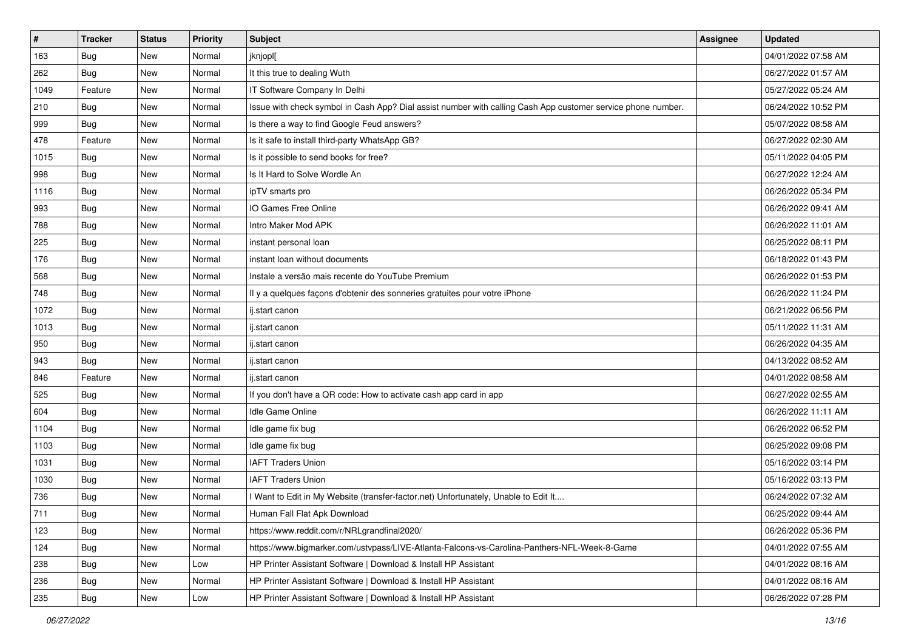| #    | <b>Tracker</b> | <b>Status</b> | <b>Priority</b> | Subject                                                                                                      | Assignee | <b>Updated</b>      |
|------|----------------|---------------|-----------------|--------------------------------------------------------------------------------------------------------------|----------|---------------------|
| 163  | <b>Bug</b>     | New           | Normal          | jknjopl[                                                                                                     |          | 04/01/2022 07:58 AM |
| 262  | Bug            | New           | Normal          | It this true to dealing Wuth                                                                                 |          | 06/27/2022 01:57 AM |
| 1049 | Feature        | New           | Normal          | IT Software Company In Delhi                                                                                 |          | 05/27/2022 05:24 AM |
| 210  | Bug            | New           | Normal          | Issue with check symbol in Cash App? Dial assist number with calling Cash App customer service phone number. |          | 06/24/2022 10:52 PM |
| 999  | Bug            | New           | Normal          | Is there a way to find Google Feud answers?                                                                  |          | 05/07/2022 08:58 AM |
| 478  | Feature        | New           | Normal          | Is it safe to install third-party WhatsApp GB?                                                               |          | 06/27/2022 02:30 AM |
| 1015 | Bug            | New           | Normal          | Is it possible to send books for free?                                                                       |          | 05/11/2022 04:05 PM |
| 998  | <b>Bug</b>     | New           | Normal          | Is It Hard to Solve Wordle An                                                                                |          | 06/27/2022 12:24 AM |
| 1116 | Bug            | New           | Normal          | ipTV smarts pro                                                                                              |          | 06/26/2022 05:34 PM |
| 993  | Bug            | New           | Normal          | IO Games Free Online                                                                                         |          | 06/26/2022 09:41 AM |
| 788  | Bug            | New           | Normal          | Intro Maker Mod APK                                                                                          |          | 06/26/2022 11:01 AM |
| 225  | Bug            | New           | Normal          | instant personal loan                                                                                        |          | 06/25/2022 08:11 PM |
| 176  | Bug            | New           | Normal          | instant loan without documents                                                                               |          | 06/18/2022 01:43 PM |
| 568  | Bug            | New           | Normal          | Instale a versão mais recente do YouTube Premium                                                             |          | 06/26/2022 01:53 PM |
| 748  | Bug            | New           | Normal          | Il y a quelques façons d'obtenir des sonneries gratuites pour votre iPhone                                   |          | 06/26/2022 11:24 PM |
| 1072 | <b>Bug</b>     | New           | Normal          | ij.start canon                                                                                               |          | 06/21/2022 06:56 PM |
| 1013 | Bug            | New           | Normal          | ij.start canon                                                                                               |          | 05/11/2022 11:31 AM |
| 950  | Bug            | New           | Normal          | ij.start canon                                                                                               |          | 06/26/2022 04:35 AM |
| 943  | Bug            | New           | Normal          | ij.start canon                                                                                               |          | 04/13/2022 08:52 AM |
| 846  | Feature        | New           | Normal          | ij.start canon                                                                                               |          | 04/01/2022 08:58 AM |
| 525  | Bug            | New           | Normal          | If you don't have a QR code: How to activate cash app card in app                                            |          | 06/27/2022 02:55 AM |
| 604  | Bug            | New           | Normal          | Idle Game Online                                                                                             |          | 06/26/2022 11:11 AM |
| 1104 | <b>Bug</b>     | New           | Normal          | Idle game fix bug                                                                                            |          | 06/26/2022 06:52 PM |
| 1103 | Bug            | New           | Normal          | Idle game fix bug                                                                                            |          | 06/25/2022 09:08 PM |
| 1031 | <b>Bug</b>     | New           | Normal          | <b>IAFT Traders Union</b>                                                                                    |          | 05/16/2022 03:14 PM |
| 1030 | Bug            | New           | Normal          | <b>IAFT Traders Union</b>                                                                                    |          | 05/16/2022 03:13 PM |
| 736  | <b>Bug</b>     | New           | Normal          | I Want to Edit in My Website (transfer-factor.net) Unfortunately, Unable to Edit It                          |          | 06/24/2022 07:32 AM |
| 711  | Bug            | New           | Normal          | Human Fall Flat Apk Download                                                                                 |          | 06/25/2022 09:44 AM |
| 123  | <b>Bug</b>     | New           | Normal          | https://www.reddit.com/r/NRLgrandfinal2020/                                                                  |          | 06/26/2022 05:36 PM |
| 124  | <b>Bug</b>     | New           | Normal          | https://www.bigmarker.com/ustvpass/LIVE-Atlanta-Falcons-vs-Carolina-Panthers-NFL-Week-8-Game                 |          | 04/01/2022 07:55 AM |
| 238  | Bug            | New           | Low             | HP Printer Assistant Software   Download & Install HP Assistant                                              |          | 04/01/2022 08:16 AM |
| 236  | <b>Bug</b>     | New           | Normal          | HP Printer Assistant Software   Download & Install HP Assistant                                              |          | 04/01/2022 08:16 AM |
| 235  | <b>Bug</b>     | New           | Low             | HP Printer Assistant Software   Download & Install HP Assistant                                              |          | 06/26/2022 07:28 PM |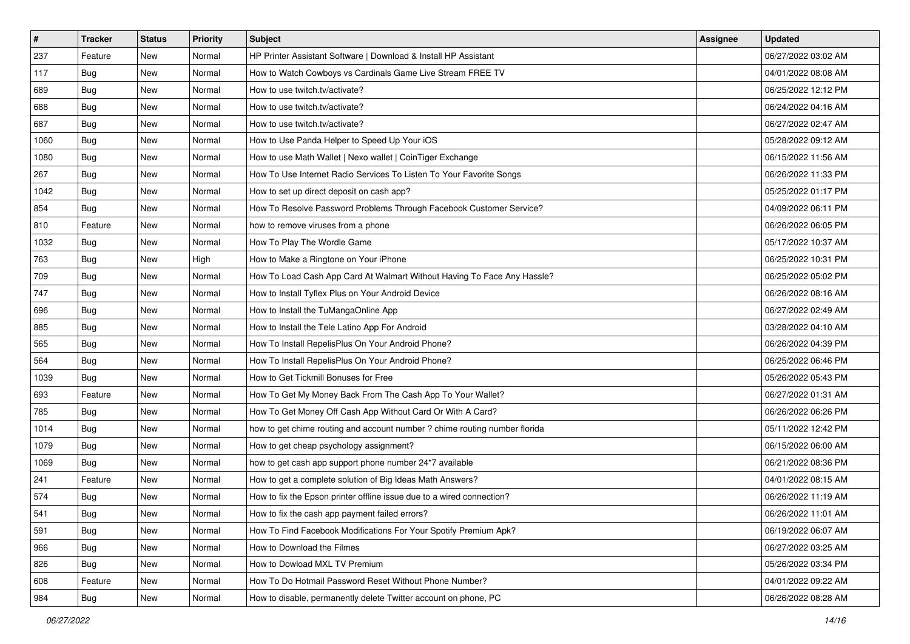| $\vert$ # | <b>Tracker</b> | <b>Status</b> | Priority | Subject                                                                    | Assignee | <b>Updated</b>      |
|-----------|----------------|---------------|----------|----------------------------------------------------------------------------|----------|---------------------|
| 237       | Feature        | New           | Normal   | HP Printer Assistant Software   Download & Install HP Assistant            |          | 06/27/2022 03:02 AM |
| 117       | <b>Bug</b>     | New           | Normal   | How to Watch Cowboys vs Cardinals Game Live Stream FREE TV                 |          | 04/01/2022 08:08 AM |
| 689       | Bug            | New           | Normal   | How to use twitch.tv/activate?                                             |          | 06/25/2022 12:12 PM |
| 688       | Bug            | New           | Normal   | How to use twitch.tv/activate?                                             |          | 06/24/2022 04:16 AM |
| 687       | Bug            | New           | Normal   | How to use twitch.tv/activate?                                             |          | 06/27/2022 02:47 AM |
| 1060      | Bug            | New           | Normal   | How to Use Panda Helper to Speed Up Your iOS                               |          | 05/28/2022 09:12 AM |
| 1080      | Bug            | New           | Normal   | How to use Math Wallet   Nexo wallet   CoinTiger Exchange                  |          | 06/15/2022 11:56 AM |
| 267       | Bug            | New           | Normal   | How To Use Internet Radio Services To Listen To Your Favorite Songs        |          | 06/26/2022 11:33 PM |
| 1042      | <b>Bug</b>     | New           | Normal   | How to set up direct deposit on cash app?                                  |          | 05/25/2022 01:17 PM |
| 854       | Bug            | New           | Normal   | How To Resolve Password Problems Through Facebook Customer Service?        |          | 04/09/2022 06:11 PM |
| 810       | Feature        | New           | Normal   | how to remove viruses from a phone                                         |          | 06/26/2022 06:05 PM |
| 1032      | Bug            | New           | Normal   | How To Play The Wordle Game                                                |          | 05/17/2022 10:37 AM |
| 763       | Bug            | New           | High     | How to Make a Ringtone on Your iPhone                                      |          | 06/25/2022 10:31 PM |
| 709       | <b>Bug</b>     | New           | Normal   | How To Load Cash App Card At Walmart Without Having To Face Any Hassle?    |          | 06/25/2022 05:02 PM |
| 747       | Bug            | New           | Normal   | How to Install Tyflex Plus on Your Android Device                          |          | 06/26/2022 08:16 AM |
| 696       | Bug            | New           | Normal   | How to Install the TuMangaOnline App                                       |          | 06/27/2022 02:49 AM |
| 885       | <b>Bug</b>     | New           | Normal   | How to Install the Tele Latino App For Android                             |          | 03/28/2022 04:10 AM |
| 565       | Bug            | New           | Normal   | How To Install RepelisPlus On Your Android Phone?                          |          | 06/26/2022 04:39 PM |
| 564       | <b>Bug</b>     | New           | Normal   | How To Install RepelisPlus On Your Android Phone?                          |          | 06/25/2022 06:46 PM |
| 1039      | <b>Bug</b>     | New           | Normal   | How to Get Tickmill Bonuses for Free                                       |          | 05/26/2022 05:43 PM |
| 693       | Feature        | New           | Normal   | How To Get My Money Back From The Cash App To Your Wallet?                 |          | 06/27/2022 01:31 AM |
| 785       | <b>Bug</b>     | New           | Normal   | How To Get Money Off Cash App Without Card Or With A Card?                 |          | 06/26/2022 06:26 PM |
| 1014      | Bug            | New           | Normal   | how to get chime routing and account number ? chime routing number florida |          | 05/11/2022 12:42 PM |
| 1079      | Bug            | New           | Normal   | How to get cheap psychology assignment?                                    |          | 06/15/2022 06:00 AM |
| 1069      | Bug            | New           | Normal   | how to get cash app support phone number 24*7 available                    |          | 06/21/2022 08:36 PM |
| 241       | Feature        | New           | Normal   | How to get a complete solution of Big Ideas Math Answers?                  |          | 04/01/2022 08:15 AM |
| 574       | <b>Bug</b>     | New           | Normal   | How to fix the Epson printer offline issue due to a wired connection?      |          | 06/26/2022 11:19 AM |
| 541       | l Bug          | New           | Normal   | How to fix the cash app payment failed errors?                             |          | 06/26/2022 11:01 AM |
| 591       | <b>Bug</b>     | New           | Normal   | How To Find Facebook Modifications For Your Spotify Premium Apk?           |          | 06/19/2022 06:07 AM |
| 966       | Bug            | New           | Normal   | How to Download the Filmes                                                 |          | 06/27/2022 03:25 AM |
| 826       | <b>Bug</b>     | New           | Normal   | How to Dowload MXL TV Premium                                              |          | 05/26/2022 03:34 PM |
| 608       | Feature        | New           | Normal   | How To Do Hotmail Password Reset Without Phone Number?                     |          | 04/01/2022 09:22 AM |
| 984       | <b>Bug</b>     | New           | Normal   | How to disable, permanently delete Twitter account on phone, PC            |          | 06/26/2022 08:28 AM |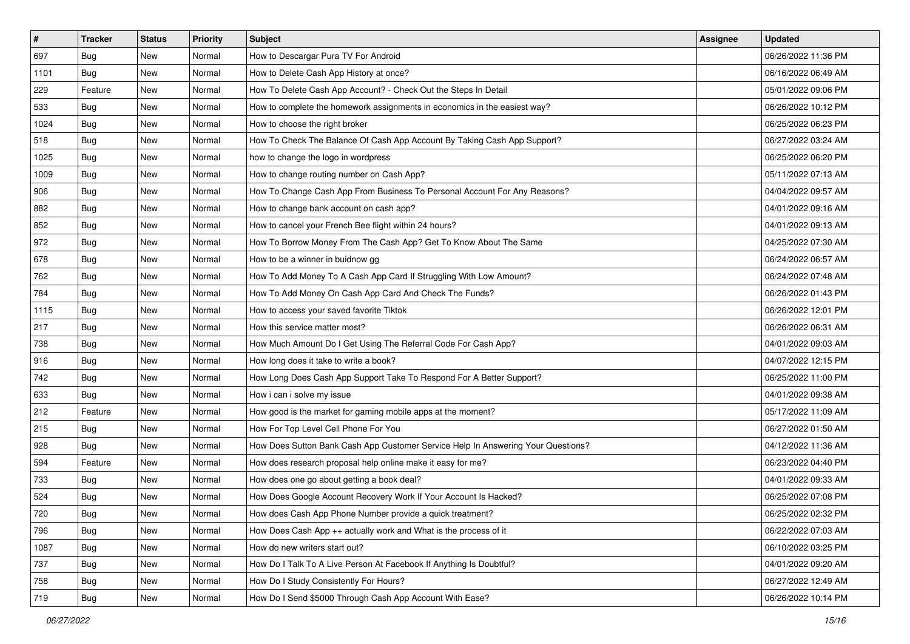| $\sharp$ | Tracker    | <b>Status</b> | <b>Priority</b> | Subject                                                                          | <b>Assignee</b> | <b>Updated</b>      |
|----------|------------|---------------|-----------------|----------------------------------------------------------------------------------|-----------------|---------------------|
| 697      | <b>Bug</b> | New           | Normal          | How to Descargar Pura TV For Android                                             |                 | 06/26/2022 11:36 PM |
| 1101     | <b>Bug</b> | New           | Normal          | How to Delete Cash App History at once?                                          |                 | 06/16/2022 06:49 AM |
| 229      | Feature    | New           | Normal          | How To Delete Cash App Account? - Check Out the Steps In Detail                  |                 | 05/01/2022 09:06 PM |
| 533      | <b>Bug</b> | New           | Normal          | How to complete the homework assignments in economics in the easiest way?        |                 | 06/26/2022 10:12 PM |
| 1024     | Bug        | New           | Normal          | How to choose the right broker                                                   |                 | 06/25/2022 06:23 PM |
| 518      | <b>Bug</b> | New           | Normal          | How To Check The Balance Of Cash App Account By Taking Cash App Support?         |                 | 06/27/2022 03:24 AM |
| 1025     | <b>Bug</b> | New           | Normal          | how to change the logo in wordpress                                              |                 | 06/25/2022 06:20 PM |
| 1009     | Bug        | New           | Normal          | How to change routing number on Cash App?                                        |                 | 05/11/2022 07:13 AM |
| 906      | <b>Bug</b> | New           | Normal          | How To Change Cash App From Business To Personal Account For Any Reasons?        |                 | 04/04/2022 09:57 AM |
| 882      | Bug        | New           | Normal          | How to change bank account on cash app?                                          |                 | 04/01/2022 09:16 AM |
| 852      | <b>Bug</b> | New           | Normal          | How to cancel your French Bee flight within 24 hours?                            |                 | 04/01/2022 09:13 AM |
| 972      | <b>Bug</b> | New           | Normal          | How To Borrow Money From The Cash App? Get To Know About The Same                |                 | 04/25/2022 07:30 AM |
| 678      | Bug        | New           | Normal          | How to be a winner in buidnow gg                                                 |                 | 06/24/2022 06:57 AM |
| 762      | <b>Bug</b> | New           | Normal          | How To Add Money To A Cash App Card If Struggling With Low Amount?               |                 | 06/24/2022 07:48 AM |
| 784      | <b>Bug</b> | New           | Normal          | How To Add Money On Cash App Card And Check The Funds?                           |                 | 06/26/2022 01:43 PM |
| 1115     | <b>Bug</b> | New           | Normal          | How to access your saved favorite Tiktok                                         |                 | 06/26/2022 12:01 PM |
| 217      | <b>Bug</b> | New           | Normal          | How this service matter most?                                                    |                 | 06/26/2022 06:31 AM |
| 738      | Bug        | New           | Normal          | How Much Amount Do I Get Using The Referral Code For Cash App?                   |                 | 04/01/2022 09:03 AM |
| 916      | <b>Bug</b> | New           | Normal          | How long does it take to write a book?                                           |                 | 04/07/2022 12:15 PM |
| 742      | <b>Bug</b> | New           | Normal          | How Long Does Cash App Support Take To Respond For A Better Support?             |                 | 06/25/2022 11:00 PM |
| 633      | <b>Bug</b> | New           | Normal          | How i can i solve my issue                                                       |                 | 04/01/2022 09:38 AM |
| 212      | Feature    | New           | Normal          | How good is the market for gaming mobile apps at the moment?                     |                 | 05/17/2022 11:09 AM |
| 215      | Bug        | New           | Normal          | How For Top Level Cell Phone For You                                             |                 | 06/27/2022 01:50 AM |
| 928      | <b>Bug</b> | New           | Normal          | How Does Sutton Bank Cash App Customer Service Help In Answering Your Questions? |                 | 04/12/2022 11:36 AM |
| 594      | Feature    | New           | Normal          | How does research proposal help online make it easy for me?                      |                 | 06/23/2022 04:40 PM |
| 733      | <b>Bug</b> | New           | Normal          | How does one go about getting a book deal?                                       |                 | 04/01/2022 09:33 AM |
| 524      | <b>Bug</b> | New           | Normal          | How Does Google Account Recovery Work If Your Account Is Hacked?                 |                 | 06/25/2022 07:08 PM |
| 720      | Bug        | New           | Normal          | How does Cash App Phone Number provide a quick treatment?                        |                 | 06/25/2022 02:32 PM |
| 796      | <b>Bug</b> | New           | Normal          | How Does Cash App $++$ actually work and What is the process of it               |                 | 06/22/2022 07:03 AM |
| 1087     | Bug        | New           | Normal          | How do new writers start out?                                                    |                 | 06/10/2022 03:25 PM |
| 737      | Bug        | New           | Normal          | How Do I Talk To A Live Person At Facebook If Anything Is Doubtful?              |                 | 04/01/2022 09:20 AM |
| 758      | <b>Bug</b> | New           | Normal          | How Do I Study Consistently For Hours?                                           |                 | 06/27/2022 12:49 AM |
| 719      | <b>Bug</b> | New           | Normal          | How Do I Send \$5000 Through Cash App Account With Ease?                         |                 | 06/26/2022 10:14 PM |